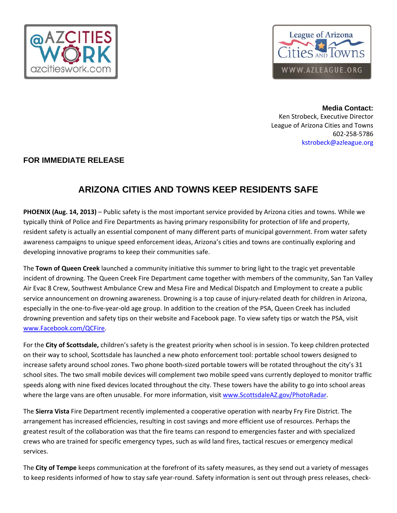



**Media Contact:**  Ken Strobeck, Executive Director League of Arizona Cities and Towns 602‐258‐5786 kstrobeck@azleague.org

## **FOR IMMEDIATE RELEASE**

## **ARIZONA CITIES AND TOWNS KEEP RESIDENTS SAFE**

**PHOENIX (Aug. 14, 2013)** – Public safety is the most important service provided by Arizona cities and towns. While we typically think of Police and Fire Departments as having primary responsibility for protection of life and property, resident safety is actually an essential component of many different parts of municipal government. From water safety awareness campaigns to unique speed enforcement ideas, Arizona's cities and towns are continually exploring and developing innovative programs to keep their communities safe.

The **Town of Queen Creek** launched a community initiative this summer to bring light to the tragic yet preventable incident of drowning. The Queen Creek Fire Department came together with members of the community, San Tan Valley Air Evac 8 Crew, Southwest Ambulance Crew and Mesa Fire and Medical Dispatch and Employment to create a public service announcement on drowning awareness. Drowning is a top cause of injury-related death for children in Arizona, especially in the one‐to‐five‐year‐old age group. In addition to the creation of the PSA, Queen Creek has included drowning prevention and safety tips on their website and Facebook page. To view safety tips or watch the PSA, visit www.Facebook.com/QCFire.

For the **City of Scottsdale,** children's safety is the greatest priority when school is in session. To keep children protected on their way to school, Scottsdale has launched a new photo enforcement tool: portable school towers designed to increase safety around school zones. Two phone booth-sized portable towers will be rotated throughout the city's 31 school sites. The two small mobile devices will complement two mobile speed vans currently deployed to monitor traffic speeds along with nine fixed devices located throughout the city. These towers have the ability to go into school areas where the large vans are often unusable. For more information, visit www.ScottsdaleAZ.gov/PhotoRadar.

The **Sierra Vista** Fire Department recently implemented a cooperative operation with nearby Fry Fire District. The arrangement has increased efficiencies, resulting in cost savings and more efficient use of resources. Perhaps the greatest result of the collaboration was that the fire teams can respond to emergencies faster and with specialized crews who are trained for specific emergency types, such as wild land fires, tactical rescues or emergency medical services.

The **City of Tempe** keeps communication at the forefront of its safety measures, as they send out a variety of messages to keep residents informed of how to stay safe year-round. Safety information is sent out through press releases, check-